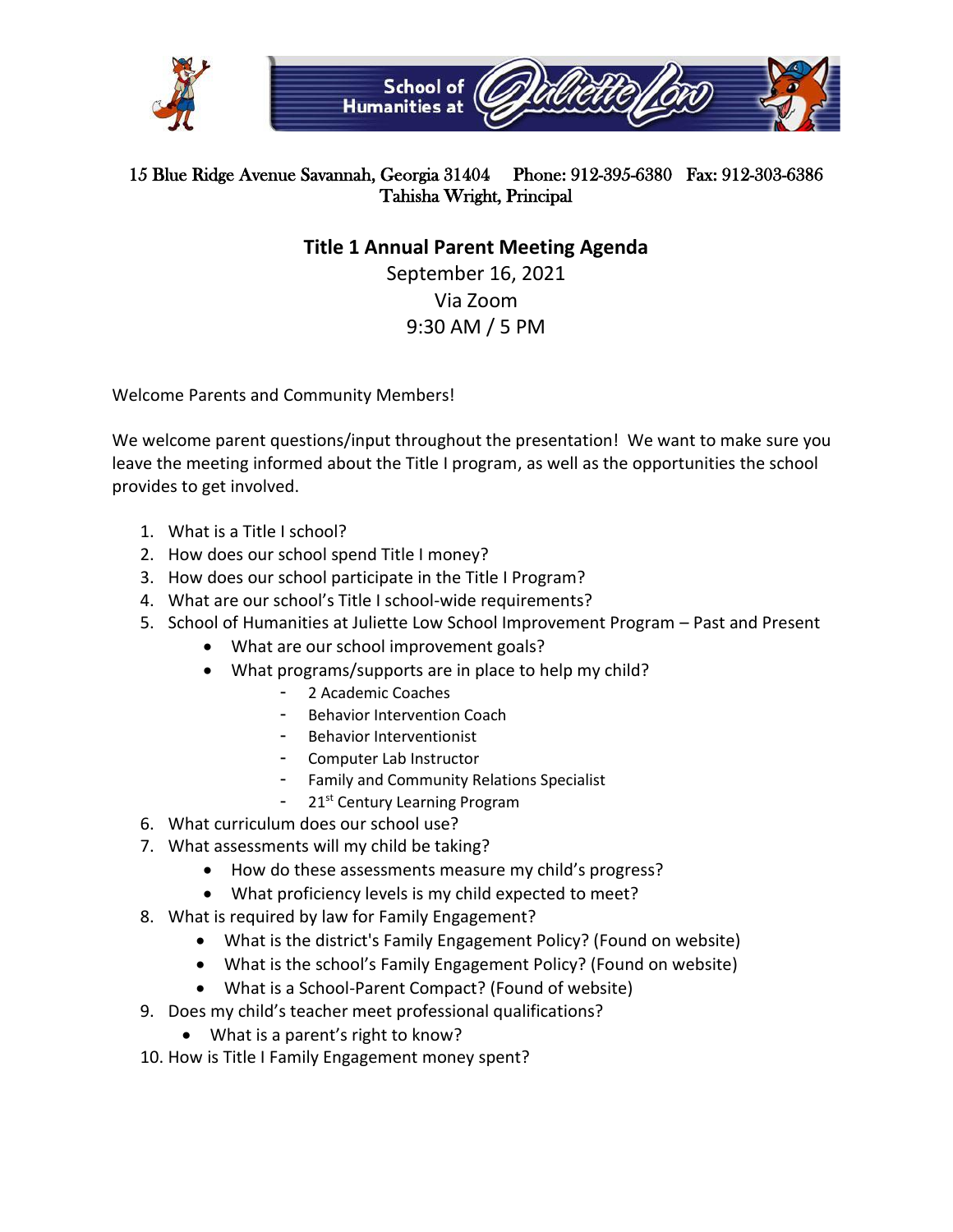

## 15 Blue Ridge Avenue Savannah, Georgia 31404 Phone: 912-395-6380 Fax: 912-303-6386 Tahisha Wright, Principal

## **Title 1 Annual Parent Meeting Agenda**

September 16, 2021 Via Zoom 9:30 AM / 5 PM

Welcome Parents and Community Members!

We welcome parent questions/input throughout the presentation! We want to make sure you leave the meeting informed about the Title I program, as well as the opportunities the school provides to get involved.

- 1. What is a Title I school?
- 2. How does our school spend Title I money?
- 3. How does our school participate in the Title I Program?
- 4. What are our school's Title I school-wide requirements?
- 5. School of Humanities at Juliette Low School Improvement Program Past and Present
	- What are our school improvement goals?
	- What programs/supports are in place to help my child?
		- 2 Academic Coaches
		- Behavior Intervention Coach
		- Behavior Interventionist
		- Computer Lab Instructor
		- Family and Community Relations Specialist
		- 21<sup>st</sup> Century Learning Program
- 6. What curriculum does our school use?
- 7. What assessments will my child be taking?
	- How do these assessments measure my child's progress?
	- What proficiency levels is my child expected to meet?
- 8. What is required by law for Family Engagement?
	- What is the district's Family Engagement Policy? (Found on website)
	- What is the school's Family Engagement Policy? (Found on website)
	- What is a School-Parent Compact? (Found of website)
- 9. Does my child's teacher meet professional qualifications?
	- What is a parent's right to know?
- 10. How is Title I Family Engagement money spent?